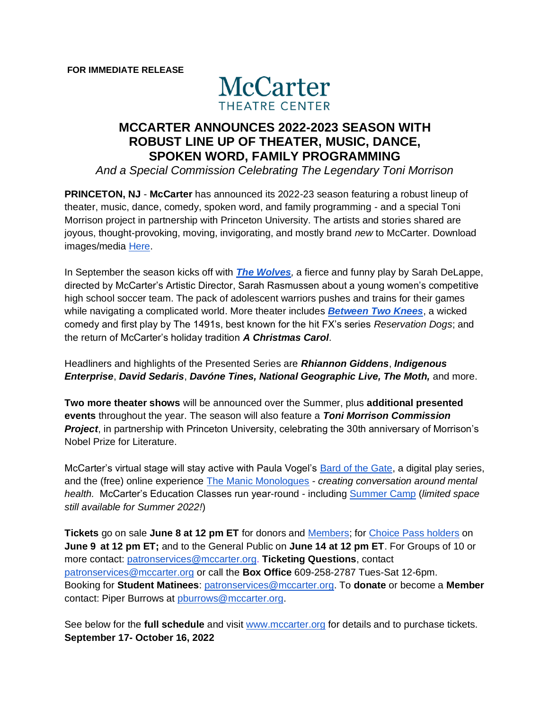

# **MCCARTER ANNOUNCES 2022-2023 SEASON WITH ROBUST LINE UP OF THEATER, MUSIC, DANCE, SPOKEN WORD, FAMILY PROGRAMMING**

*And a Special Commission Celebrating The Legendary Toni Morrison*

**PRINCETON, NJ** - **McCarter** has announced its 2022-23 season featuring a robust lineup of theater, music, dance, comedy, spoken word, and family programming - and a special Toni Morrison project in partnership with Princeton University. The artists and stories shared are joyous, thought-provoking, moving, invigorating, and mostly brand *new* to McCarter. Download images/media [Here.](https://drive.google.com/drive/folders/1AVasS7xiqLgcuLHB9Gnt4QHnVYLwSuCu)

In September the season kicks off with *[The Wolves](https://www.pulitzer.org/finalists/sarah-delappe),* a fierce and funny play by Sarah DeLappe, directed by McCarter's Artistic Director, Sarah Rasmussen about a young women's competitive high school soccer team. The pack of adolescent warriors pushes and trains for their games while navigating a complicated world. More theater includes *[Between Two Knees](https://www.courant.com/ctnow/arts-theater/hc-ctnow-review-between-two-knees-yale-rep-20220521-or26w6p75fddngcpwesvtuq3di-story.html)*, a wicked comedy and first play by The 1491s, best known for the hit FX's series *Reservation Dogs*; and the return of McCarter's holiday tradition *A Christmas Carol*.

Headliners and highlights of the Presented Series are *Rhiannon Giddens*, *Indigenous Enterprise*, *David Sedaris*, *Davóne Tines, National Geographic Live, The Moth,* and more.

**Two more theater shows** will be announced over the Summer, plus **additional presented events** throughout the year. The season will also feature a *Toni Morrison Commission Project*, in partnership with Princeton University, celebrating the 30th anniversary of Morrison's Nobel Prize for Literature.

McCarter's virtual stage will stay active with Paula Vogel's [Bard of the Gate,](https://www.mccarter.org/bard) a digital play series, and the (free) online experience [The Manic Monologues](https://www.mccarter.org/manicmonologues) *- creating conversation around mental health.* McCarter's Education Classes run year-round - including [Summer Camp](https://www.mccarter.org/education-community/summer-camp-22/) (*limited space still available for Summer 2022!*)

**Tickets** go on sale **June 8 at 12 pm ET** for donors and [Members;](https://www.mccarter.org/members#:~:text=Membership%20Become%20a%20Member%20today%20and%20play%20a,success%20and%20financial%20well-being.%20Membership%20starts%20at%20%24100.) for [Choice Pass holders](https://www.mccarter.org/tickets-events/choice-pass/) on **June 9 at 12 pm ET;** and to the General Public on **June 14 at 12 pm ET**. For Groups of 10 or more contact: [patronservices@mccarter.org.](mailto:patronservices@mccarter.org) **Ticketing Questions**, contact [patronservices@mccarter.org](mailto:patronservies@mccarter.org) or call the **Box Office** 609-258-2787 Tues-Sat 12-6pm. Booking for **Student Matinees**: [patronservices@mccarter.org.](mailto:patronservices@mccarter.org) To **donate** or become a **Member** contact: Piper Burrows at [pburrows@mccarter.org.](mailto:pburrows@mccarter.org)

See below for the **full schedule** and visit [www.mccarter.org](http://www.mccarter.org/) for details and to purchase tickets. **September 17- October 16, 2022**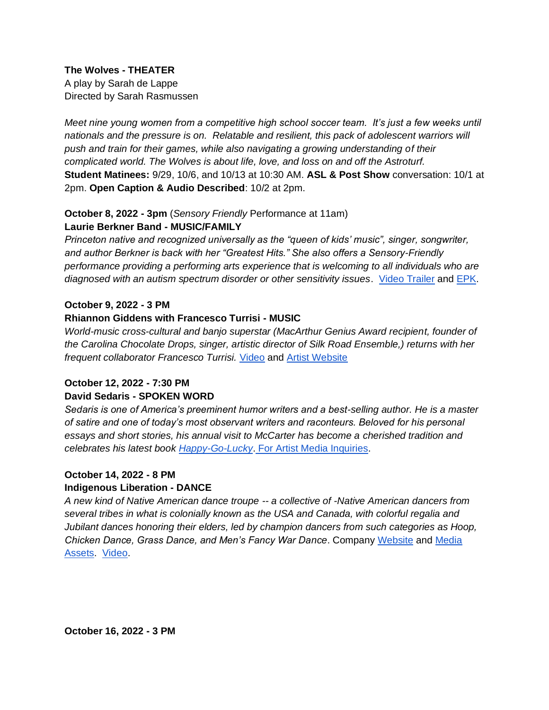**The Wolves - THEATER**

A play by Sarah de Lappe Directed by Sarah Rasmussen

*Meet nine young women from a competitive high school soccer team. It's just a few weeks until nationals and the pressure is on. Relatable and resilient, this pack of adolescent warriors will push and train for their games, while also navigating a growing understanding of their complicated world. The Wolves is about life, love, and loss on and off the Astroturf.*  **Student Matinees:** 9/29, 10/6, and 10/13 at 10:30 AM. **ASL & Post Show** conversation: 10/1 at 2pm. **Open Caption & Audio Described**: 10/2 at 2pm.

### **October 8, 2022 - 3pm** (*Sensory Friendly* Performance at 11am) **Laurie Berkner Band - MUSIC/FAMILY**

*Princeton native and recognized universally as the "queen of kids' music", singer, songwriter, and author Berkner is back with her "Greatest Hits." She also offers a Sensory-Friendly performance providing a performing arts experience that is welcoming to all individuals who are diagnosed with an autism spectrum disorder or other sensitivity issues*. [Video Trailer](https://www.youtube.com/watch?v=Y9lWq7_7pEY) and [EPK.](https://laurieberkner.com/press)

#### **October 9, 2022 - 3 PM**

#### **Rhiannon Giddens with Francesco Turrisi - MUSIC**

*World-music cross-cultural and banjo superstar (MacArthur Genius Award recipient, founder of the Carolina Chocolate Drops, singer, artistic director of Silk Road Ensemble,) returns with her frequent collaborator Francesco Turrisi.* [Video](https://www.youtube.com/watch?v=U8-yGWYH6IA) and [Artist Website](https://www.rhiannongiddens.com/)

#### **October 12, 2022 - 7:30 PM**

#### **David Sedaris - SPOKEN WORD**

*Sedaris is one of America's preeminent humor writers and a best-selling author. He is a master of satire and one of today's most observant writers and raconteurs. Beloved for his personal essays and short stories, his annual visit to McCarter has become a cherished tradition and celebrates his latest book [Happy-Go-Lucky](https://www.davidsedarisbooks.com/)*. [For Artist Media Inquiries.](https://www.barclayagency.com/speakers/david-sedaris)

#### **October 14, 2022 - 8 PM**

#### **Indigenous Liberation - DANCE**

*A new kind of Native American dance troupe -- a collective of -Native American dancers from several tribes in what is colonially known as the USA and Canada, with colorful regalia and Jubilant dances honoring their elders, led by champion dancers from such categories as Hoop, Chicken Dance, Grass Dance, and Men's Fancy War Dance*. Company [Website](https://www.urbanadancecompany.com/indigneous-liberation) and [Media](https://store.indigenousenterprise.com/pages/about)  [Assets.](https://store.indigenousenterprise.com/pages/about) [Video.](https://www.youtube.com/watch?v=uYa0tSXGIRs)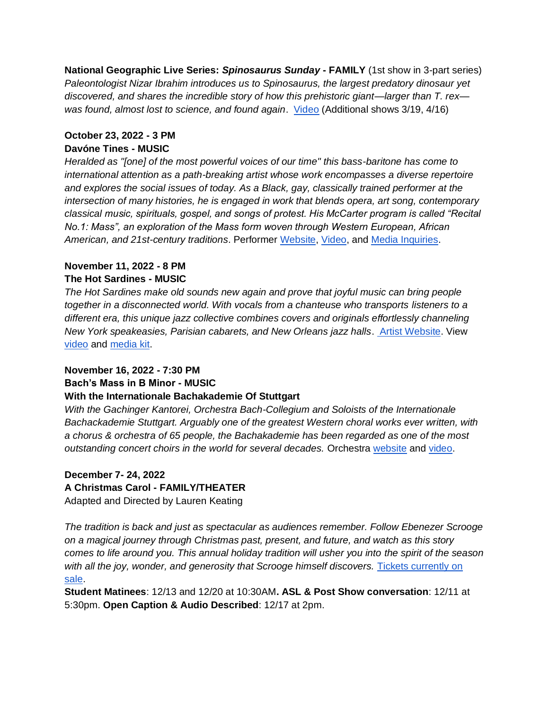**National Geographic Live Series:** *Spinosaurus Sunday* **- FAMILY** (1st show in 3-part series) *Paleontologist Nizar Ibrahim introduces us to Spinosaurus, the largest predatory dinosaur yet discovered, and shares the incredible story of how this prehistoric giant—larger than T. rex was found, almost lost to science, and found again*. [Video](https://mccartertheatre699.sharepoint.com/:v:/s/McCarterPublic/EQHki3r6OjRPj-Xt6BLFoIABMrtKVXp3HJr8SmnFYoDE9Q?e=Ct0GyF) (Additional shows 3/19, 4/16)

### **October 23, 2022 - 3 PM Davóne Tines - MUSIC**

*Heralded as "[one] of the most powerful voices of our time" this bass-baritone has come to international attention as a path-breaking artist whose work encompasses a diverse repertoire and explores the social issues of today. As a Black, gay, classically trained performer at the intersection of many histories, he is engaged in work that blends opera, art song, contemporary classical music, spirituals, gospel, and songs of protest. His McCarter program is called "Recital No.1: Mass", an exploration of the Mass form woven through Western European, African American, and 21st-century traditions*. Performer [Website,](https://alsoanoperasinger.org/) [Video,](https://www.youtube.com/watch?v=6aQhoVZmc00) and [Media Inquiries.](https://www.shumanassociates.net/artist.php?id=dtines&aview=bio)

#### **November 11, 2022 - 8 PM The Hot Sardines - MUSIC**

*The Hot Sardines make old sounds new again and prove that joyful music can bring people together in a disconnected world. With vocals from a chanteuse who transports listeners to a different era, this unique jazz collective combines covers and originals effortlessly channeling New York speakeasies, Parisian cabarets, and New Orleans jazz halls*. [Artist Website.](https://hotsardines.com/) View [video](https://youtu.be/kXd9drHdkw4) and [media kit.](https://www.thekurlandagency.com/artist/the-hot-sardines/)

## **November 16, 2022 - 7:30 PM**

**Bach's Mass in B Minor - MUSIC**

#### **With the Internationale Bachakademie Of Stuttgart**

*With the Gachinger Kantorei, Orchestra Bach-Collegium and Soloists of the Internationale Bachackademie Stuttgart. Arguably one of the greatest Western choral works ever written, with a chorus & orchestra of 65 people, the Bachakademie has been regarded as one of the most outstanding concert choirs in the world for several decades.* Orchestra [website](https://www.bachakademie.de/en/home.html) and [video.](https://www.youtube.com/watch?v=mfiLcWCcLD8)

#### **December 7- 24, 2022 A Christmas Carol - FAMILY/THEATER** Adapted and Directed by Lauren Keating

*The tradition is back and just as spectacular as audiences remember. Follow Ebenezer Scrooge on a magical journey through Christmas past, present, and future, and watch as this story comes to life around you. This annual holiday tradition will usher you into the spirit of the season with all the joy, wonder, and generosity that Scrooge himself discovers.* [Tickets currently on](https://www.mccarter.org/achristmascarol/)  [sale.](https://www.mccarter.org/achristmascarol/)

**Student Matinees**: 12/13 and 12/20 at 10:30AM**. ASL & Post Show conversation**: 12/11 at 5:30pm. **Open Caption & Audio Described**: 12/17 at 2pm.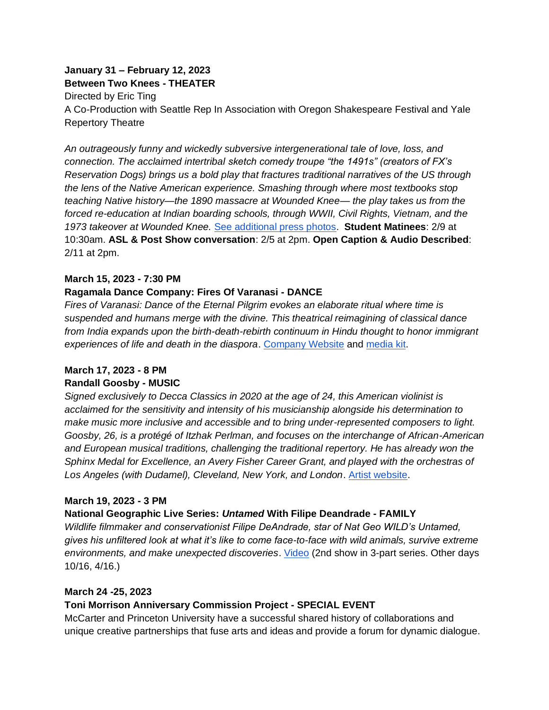#### **January 31 – February 12, 2023 Between Two Knees - THEATER**

Directed by Eric Ting A Co-Production with Seattle Rep In Association with Oregon Shakespeare Festival and Yale Repertory Theatre

*An outrageously funny and wickedly subversive intergenerational tale of love, loss, and connection. The acclaimed intertribal sketch comedy troupe "the 1491s" (creators of FX's Reservation Dogs) brings us a bold play that fractures traditional narratives of the US through the lens of the Native American experience. Smashing through where most textbooks stop teaching Native history—the 1890 massacre at Wounded Knee— the play takes us from the forced re-education at Indian boarding schools, through WWII, Civil Rights, Vietnam, and the 1973 takeover at Wounded Knee.* [See additional press photos.](https://yalerep.org/about/press/between-two-knees/) **Student Matinees**: 2/9 at 10:30am. **ASL & Post Show conversation**: 2/5 at 2pm. **Open Caption & Audio Described**: 2/11 at 2pm.

### **March 15, 2023 - 7:30 PM**

#### **Ragamala Dance Company: Fires Of Varanasi - DANCE**

*Fires of Varanasi: Dance of the Eternal Pilgrim evokes an elaborate ritual where time is suspended and humans merge with the divine. This theatrical reimagining of classical dance from India expands upon the birth-death-rebirth continuum in Hindu thought to honor immigrant experiences of life and death in the diaspora*. [Company Website](https://www.ragamaladance.org/press) and [media kit.](https://drive.google.com/drive/folders/1DcvATz7BoZDWVanpHCTTxCX9KT45Ckwl)

#### **March 17, 2023 - 8 PM Randall Goosby - MUSIC**

*Signed exclusively to Decca Classics in 2020 at the age of 24, this American violinist is acclaimed for the sensitivity and intensity of his musicianship alongside his determination to make music more inclusive and accessible and to bring under-represented composers to light. Goosby, 26, is a protégé of Itzhak Perlman, and focuses on the interchange of African-American and European musical traditions, challenging the traditional repertory. He has already won the Sphinx Medal for Excellence, an Avery Fisher Career Grant, and played with the orchestras of Los Angeles (with Dudamel), Cleveland, New York, and London*. [Artist website.](https://randallgoosby.com/)

#### **March 19, 2023 - 3 PM**

## **National Geographic Live Series:** *Untamed* **With Filipe Deandrade - FAMILY**

*Wildlife filmmaker and conservationist Filipe DeAndrade, star of Nat Geo WILD's Untamed, gives his unfiltered look at what it's like to come face-to-face with wild animals, survive extreme environments, and make unexpected discoveries*. [Video](https://mccartertheatre699.sharepoint.com/:v:/s/McCarterPublic/ERVsyzs5R7ZDvnC5jzRDX1YBxxe9Xm9kRSPby9Ks5MAcgQ?e=9siMeq) (2nd show in 3-part series. Other days 10/16, 4/16.)

#### **March 24 -25, 2023**

## **Toni Morrison Anniversary Commission Project - SPECIAL EVENT**

McCarter and Princeton University have a successful shared history of collaborations and unique creative partnerships that fuse arts and ideas and provide a forum for dynamic dialogue.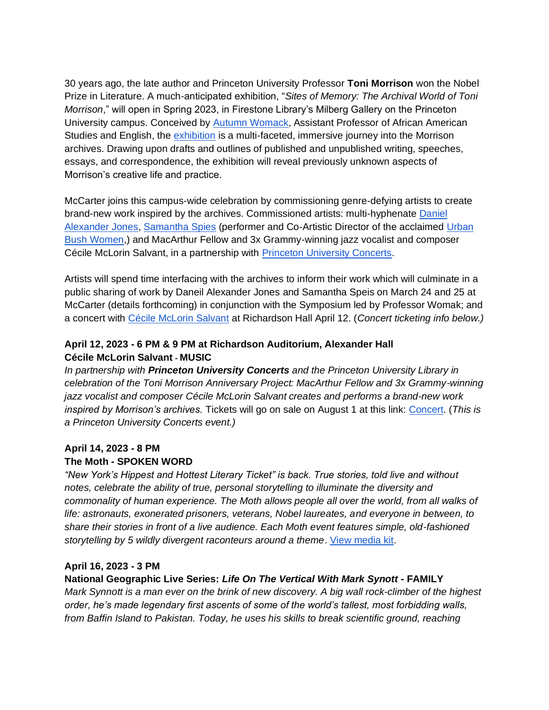30 years ago, the late author and Princeton University Professor **Toni Morrison** won the Nobel Prize in Literature. A much-anticipated exhibition, "*Sites of Memory: The Archival World of Toni Morrison*," will open in Spring 2023, in Firestone Library's Milberg Gallery on the Princeton University campus. Conceived by [Autumn Womack,](https://english.princeton.edu/people/autumn-womack) Assistant Professor of African American Studies and English, the [exhibition](https://library.princeton.edu/news/general/2021-10-28/groundbreaking-pul-exhibition-toni-morrison-open-spring-2023) is a multi-faceted, immersive journey into the Morrison archives. Drawing upon drafts and outlines of published and unpublished writing, speeches, essays, and correspondence, the exhibition will reveal previously unknown aspects of Morrison's creative life and practice.

McCarter joins this campus-wide celebration by commissioning genre-defying artists to create brand-new work inspired by the archives. Commissioned artists: multi-hyphenate [Daniel](http://www.danielalexanderjones.com/)  [Alexander Jones,](http://www.danielalexanderjones.com/) [Samantha Spies](https://www.urbanbushwomen.org/staff) (performer and Co-Artistic Director of the acclaimed [Urban](https://www.urbanbushwomen.org/the-company)  [Bush Women,](https://www.urbanbushwomen.org/the-company)) and MacArthur Fellow and 3x Grammy-winning jazz vocalist and composer [Cécile](https://concerts.princeton.edu/events/salvant-fortner/) McLorin Salvant, in a partnership with [Princeton University Concerts.](https://concerts.princeton.edu/)

Artists will spend time interfacing with the archives to inform their work which will culminate in a public sharing of work by Daneil Alexander Jones and Samantha Speis on March 24 and 25 at McCarter (details forthcoming) in conjunction with the Symposium led by Professor Womak; and a concert with [Cécile McLorin Salvant](https://concerts.princeton.edu/events/salvant-fortner/) at Richardson Hall April 12. (*Concert ticketing info below.)*

### **April 12, 2023 - 6 PM & 9 PM at Richardson Auditorium, Alexander Hall Cécile McLorin Salvant - MUSIC**

*In partnership with Princeton University Concerts and the Princeton University Library in celebration of the Toni Morrison Anniversary Project: MacArthur Fellow and 3x Grammy-winning jazz vocalist and composer Cécile McLorin Salvant creates and performs a brand-new work inspired by Morrison's archives.* Tickets will go on sale on August 1 at this link: [Concert.](https://concerts.princeton.edu/events/salvant-fortner/) (*This is a Princeton University Concerts event.)*

#### **April 14, 2023 - 8 PM**

## **The Moth - SPOKEN WORD**

*"New York's Hippest and Hottest Literary Ticket" is back. True stories, told live and without notes, celebrate the ability of true, personal storytelling to illuminate the diversity and commonality of human experience. The Moth allows people all over the world, from all walks of life: astronauts, exonerated prisoners, veterans, Nobel laureates, and everyone in between, to share their stories in front of a live audience. Each Moth event features simple, old-fashioned storytelling by 5 wildly divergent raconteurs around a theme*. [View media kit.](https://themoth.org/media-kit)

#### **April 16, 2023 - 3 PM**

## **National Geographic Live Series:** *Life On The Vertical With Mark Synott* **- FAMILY**

*Mark Synnott is a man ever on the brink of new discovery. A big wall rock-climber of the highest order, he's made legendary first ascents of some of the world's tallest, most forbidding walls, from Baffin Island to Pakistan. Today, he uses his skills to break scientific ground, reaching*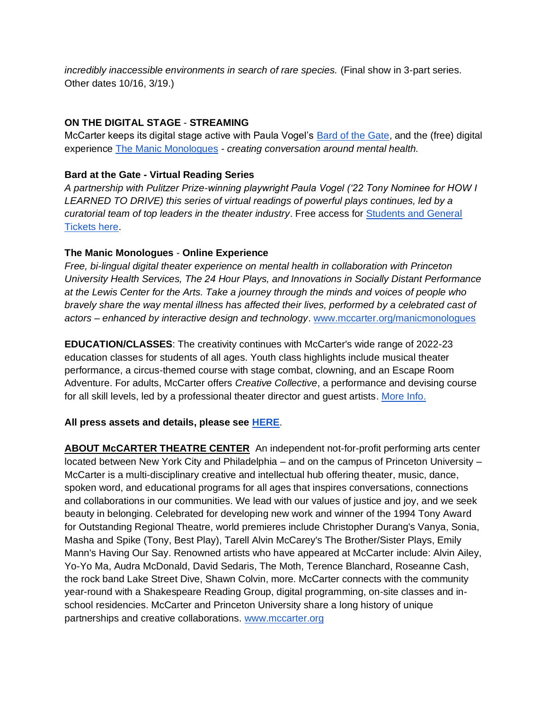*incredibly inaccessible environments in search of rare species.* (Final show in 3-part series. Other dates 10/16, 3/19.)

### **ON THE DIGITAL STAGE** - **STREAMING**

McCarter keeps its digital stage active with Paula Vogel's [Bard of the Gate,](https://www.mccarter.org/bard) and the (free) digital experience [The Manic Monologues](https://www.mccarter.org/manicmonologues) *- creating conversation around mental health.* 

#### **Bard at the Gate - Virtual Reading Series**

*A partnership with Pulitzer Prize-winning playwright Paula Vogel ('22 Tony Nominee for HOW I LEARNED TO DRIVE) this series of virtual readings of powerful plays continues, led by a curatorial team of top leaders in the theater industry*. Free access for Students [and General](https://www.mccarter.org/tickets-events/princeton-student-tickets/)  [Tickets here.](https://www.mccarter.org/tickets-events/princeton-student-tickets/)

### **The Manic Monologues** - **Online Experience**

*Free, bi-lingual digital theater experience on mental health in collaboration with Princeton University Health Services, The 24 Hour Plays, and Innovations in Socially Distant Performance at the Lewis Center for the Arts. Take a journey through the minds and voices of people who bravely share the way mental illness has affected their lives, performed by a celebrated cast of actors – enhanced by interactive design and technology*. [www.mccarter.org/manicmonologues](http://www.mccarter.org/manicmonologues)

**EDUCATION/CLASSES**: The creativity continues with McCarter's wide range of 2022-23 education classes for students of all ages. Youth class highlights include musical theater performance, a circus-themed course with stage combat, clowning, and an Escape Room Adventure. For adults, McCarter offers *Creative Collective*, a performance and devising course for all skill levels, led by a professional theater director and guest artists. [More Info.](https://www.mccarter.org/education-community/)

## **All press assets and details, please see [HERE](https://drive.google.com/drive/folders/1AVasS7xiqLgcuLHB9Gnt4QHnVYLwSuCu)**.

**ABOUT McCARTER THEATRE CENTER**An independent not-for-profit performing arts center located between New York City and Philadelphia – and on the campus of Princeton University – McCarter is a multi-disciplinary creative and intellectual hub offering theater, music, dance, spoken word, and educational programs for all ages that inspires conversations, connections and collaborations in our communities. We lead with our values of justice and joy, and we seek beauty in belonging. Celebrated for developing new work and winner of the 1994 Tony Award for Outstanding Regional Theatre, world premieres include Christopher Durang's Vanya, Sonia, Masha and Spike (Tony, Best Play), Tarell Alvin McCarey's The Brother/Sister Plays, Emily Mann's Having Our Say. Renowned artists who have appeared at McCarter include: Alvin Ailey, Yo-Yo Ma, Audra McDonald, David Sedaris, The Moth, Terence Blanchard, Roseanne Cash, the rock band Lake Street Dive, Shawn Colvin, more. McCarter connects with the community year-round with a Shakespeare Reading Group, digital programming, on-site classes and inschool residencies. McCarter and Princeton University share a long history of unique partnerships and creative collaborations. [www.mccarter.org](http://www.mccarter.org/)